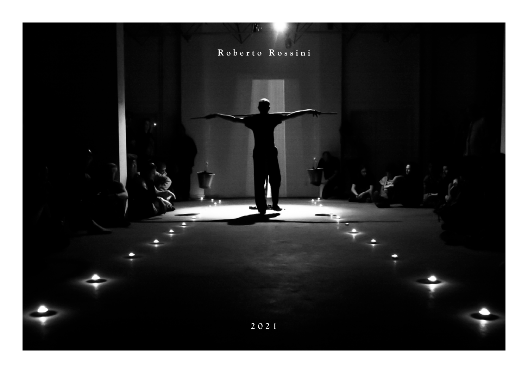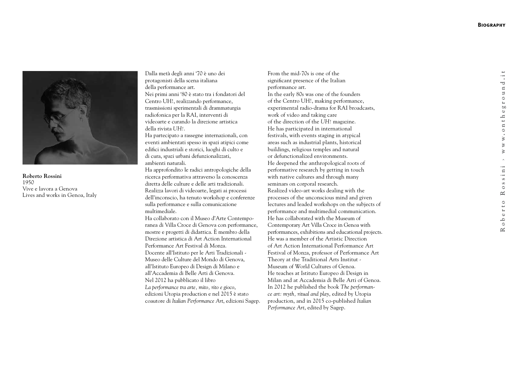

**Roberto Rossini** 1950 Vive e lavora a Genova Lives and works in Genoa, Italy Dalla metà degli anni '70 è uno dei protagonisti della scena italiana della performance art. Nei primi anni '80 è stato tra i fondatori del Centro UH!, realizzando performance, trasmissioni sperimentali di drammaturgia radiofonica per la RAI, interventi di videoarte e curando la direzione artistica della rivista *UH!* . Ha partecipato a rassegne internazionali, con

eventi ambientati spesso in spazi atipici come edifici industriali e storici, luoghi di culto e di cura, spazi urbani defunzionalizzati, ambienti naturali.

Ha approfondito le radici antropologiche della ricerca performativa attraverso la conoscenza diretta delle culture e delle arti tradizionali. Realizza lavori di videoarte, legati ai processi dell'inconscio, ha tenuto workshop e conferenze sulla performance e sulla comunicazione multimediale.

Ha collaborato con il Museo d'Arte Contempo ranea di Villa Croce di Genova con performance, mostre e progetti di didattica. È membro della Direzione artistica di Art Action International Performance Art Festival di Monza. Docente all'Istituto per le Arti Tradizionali - Museo delle Culture del Mondo di Genova, all'Istituto Europeo di Design di Milano e all'Accademia di Belle Arti di Genova. Nel 2012 ha pubblicato il libro *La performance tra arte, mito, rito e gioco*, edizioni Utopia production e nel 2015 è stato coautore di *Italian Performance Art*, edizioni Sagep. From the mid-70s is one of the significant presence of the Italian performance art. In the early 80s was one of the founders of the Centro UH!, making performance, experimental radio-drama for RAI broadcasts, work of video and taking care of the direction of the *UH!* magazine. He has participated in international festivals, with events staging in atypical areas such as industrial plants, historical buildings, religious temples and natural or defunctionalized environments. He deepened the anthropological roots of performative research by getting in touch with native cultures and through many seminars on corporal research. Realized video-art works dealing with the processes of the unconscious mind and given lectures and leaded workshops on the subjects of performance and multimedial communication. He has collaborated with the Museum of Contemporary Art Villa Croce in Genoa with performances, exhibitions and educational projects. He was a member of the Artistic Direction of Art Action International Performance Art Festival of Monza, professor of Performance Art Theory at the Traditional Arts Institut - Museum of World Cultures of Genoa. He teaches at Istituto Europeo di Design in Milan and at Accademia di Belle Arti of Genoa. In 2012 he published the book *The performan ce art: myth, ritual and play*, edited by Utopia production, and in 2015 co-published *Italian Performance Art*, edited by Sagep.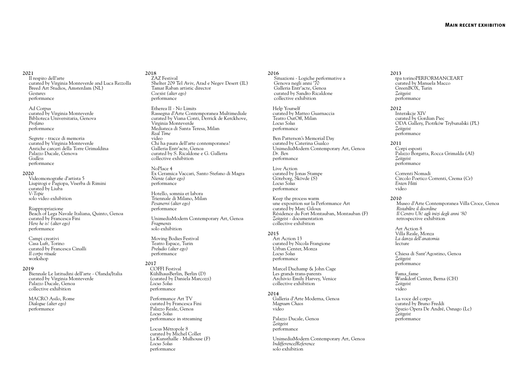## **2021**

Il respiro dell'arte curated by Virginia Monteverde and Luca Rezzolla Breed Art Studios, Amsterdam (NL) *Gestures* performance

Ad Corpus curated by Virginia Monteverde Biblioteca Universitaria, Genova *Profano* performance

Segrete - tracce di memoria curated by Virginia Monteverde Antiche carceri della Torre Grimaldina Palazzo Ducale, Genova  *Godless* performance

## **2020**

 Videomonografie d'artista 5 Liupirogi e Pagiopa, Viserba di Rimini curated by Liuba  *V-Topie* solo video exhibition

Riappropriazione Beach of Lega Navale Italiana, Quinto, Genoa curated by Francesca Fini  *Here he is! (alter ego)* performance

 Campi creativi Casa Luft, Torino curated by Francesca Cinalli *Il corpo rituale* workshop

#### **2019**

Biennale Le latitudini dell'arte - Olanda/Italia curated by Virginia Monteverde Palazzo Ducale, Genoa collective exhibition

MACRO Asilo, Rome *Dialogue (alter ego)* performance

**2018** ZAZ Festival Shelter 209 Tel Aviv, Arad e Negev Desert (IL) Tamar Raban artistic director *Coexist (alter ego)* performance

Etherea II - No Limits Rassegna d'Arte Contemporanea Multimediale curated by Viana Conti, Derrick de Kerckhove, Virginia Monteverde Mediateca di Santa Teresa, Milan *Real Time* video Chi ha paura dell'arte contemporanea? Galleria Entr'acte, Genoa curated by S. Ricaldone e G. Galletta collective exhibition

NoPlace 4 Ex Ceramica Vaccari, Santo Stefano di Magra *Niente (alter ego)* performance

Hotello, somnia et labora Triennale di Milano, Milan *Pesanervi (alter ego)* performance

UnimediaModern Contemporary Art, Genoa *Fragments* solo exhibition

Moving Bodies Festival Teatro Espace, Turin *Preludio (alter ego)* performance

## **2017**

 COFFI Festival KühlhausBerlin, Berlin (D) (curated by Daniela Marcozzi) *Locus Solus* performance

 Performance Art TV curated by Francesca Fini Palazzo Reale, Genoa *Locus Solus* performance in streaming

 Locus Métropole 8 curated by Michel Collet La Kunsthalle - Mulhouse (F) *Locus Solus*  performance

#### **2016**

Situazioni - Logiche performative a Genova negli anni '70 Galleria Entr'acte, Genoa curated by Sandro Ricaldone collective exhibition

 Help Yourself curated by Matteo Guarnaccia Teatro OutOff, Milan *Locus Solus* performance

 Ben Patterson's Memorial Day curated by Caterina Gualco UnimediaModern Contemporary Art, Genoa *Dr. Ben* performance

 Live Action curated by Jonas Stampe Göteborg, Skövde (S) *Locus Solus* performance

 Keep the process warm une exposition sur la Performance Art curated by Marc Giloux Résidence du Fort Montauban, Montauban (F) *Zeitgeist* - documentation collective exhibition

## **2015**

 Art Action 13 curated by Nicola Frangione Urban Center, Monza *Locus Solus* performance

 Marcel Duchamp & John Cage Les grands trans-parents Archivio Emily Harvey, Venice collective exhibition

## **2014**

 Galleria d'Arte Moderna, Genoa *Magnum Chaos* video

 Palazzo Ducale, Genoa *Zeitgeist* performance

 UnimediaModern Contemporary Art, Genoa *Indifference/Reference* solo exhibition

**2013** tpa torinoPERFORMANCEART curated by Manuela Macco GreenBOX, Turin *Zeitgeist* performance

#### **2012**

 Interakcje XIV curated by Gordian Piec ODA Gallery, Piotrków Trybunalski (PL) *Zeitgeist* performance

#### **2011**

 Corpi esposti Palazzo Borgatta, Rocca Grimalda (Al) *Zeitgeist* performance

 Correnti Nomadi Circolo Poetico Correnti, Crema (Cr) *Enten Hitti* video

### **2010**

Museo d'Arte Contemporanea Villa Croce, Genoa *Ristabilire il disordine Il Centro Uh! agli inizi degli anni '80* retrospective exhibition

 Art Action 8 Villa Reale, Monza *La danza dell'anatomia* lecture

 Chiesa di Sant'Agostino, Genoa *Zeitgeist* performance

 Fama\_fame Wankdorf Center, Berna (CH) *Zeitgeist* video

 La voce del corpo curated by Bruno Freddi Spazio Opera De André, Osnago (Lc) *Zeitgeist* performance